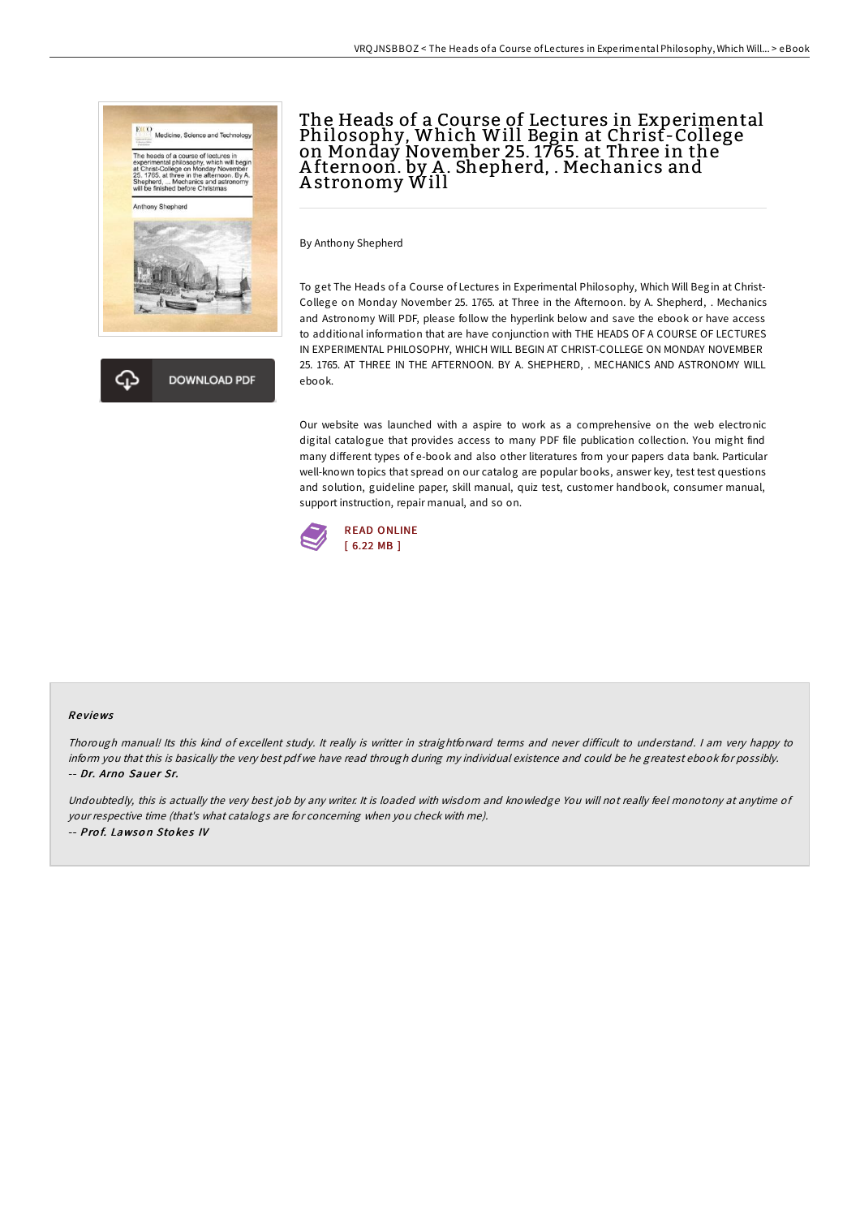



# The Heads of a Course of Lectures in Experimental Philosophy, Which Will Begin at Christ-College on Monday November 25. 1765. at Three in the Afternoon. by A. Shepherd, . Mechanics and A stronomy Will

By Anthony Shepherd

To get The Heads of a Course of Lectures in Experimental Philosophy, Which Will Begin at Christ-College on Monday November 25. 1765. at Three in the Afternoon. by A. Shepherd, . Mechanics and Astronomy Will PDF, please follow the hyperlink below and save the ebook or have access to additional information that are have conjunction with THE HEADS OF A COURSE OF LECTURES IN EXPERIMENTAL PHILOSOPHY, WHICH WILL BEGIN AT CHRIST-COLLEGE ON MONDAY NOVEMBER 25. 1765. AT THREE IN THE AFTERNOON. BY A. SHEPHERD, . MECHANICS AND ASTRONOMY WILL ebook.

Our website was launched with a aspire to work as a comprehensive on the web electronic digital catalogue that provides access to many PDF file publication collection. You might find many different types of e-book and also other literatures from your papers data bank. Particular well-known topics that spread on our catalog are popular books, answer key, test test questions and solution, guideline paper, skill manual, quiz test, customer handbook, consumer manual, support instruction, repair manual, and so on.



#### Re views

Thorough manual! Its this kind of excellent study. It really is writter in straightforward terms and never difficult to understand. I am very happy to inform you that this is basically the very best pdf we have read through during my individual existence and could be he greatest ebook for possibly. -- Dr. Arno Sauer Sr.

Undoubtedly, this is actually the very best job by any writer. It is loaded with wisdom and knowledge You will not really feel monotony at anytime of your respective time (that's what catalogs are for concerning when you check with me). -- Prof. Lawson Stokes IV